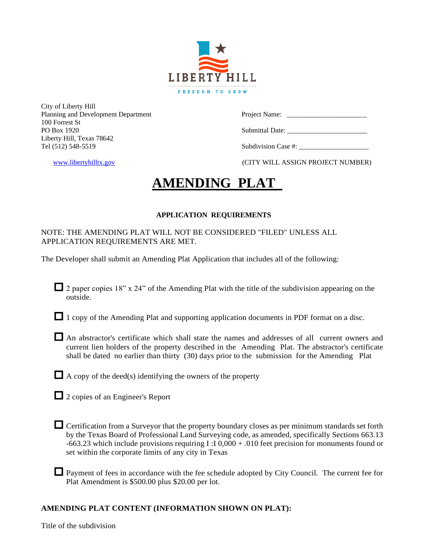

City of Liberty Hill Planning and Development Department Project Name: 100 Forrest St Liberty Hill, Texas 78642 Tel (512) 548-5519 Subdivision Case #:

PO Box 1920 Submittal Date:

[www.libertyhilltx.gov](http://www.libertyhilltx.gov/) (CITY WILL ASSIGN PROJECT NUMBER)

# **AMENDING PLAT**

# **APPLICATION REQUIREMENTS**

NOTE: THE AMENDING PLAT WILL NOT BE CONSIDERED "FILED" UNLESS ALL APPLICATION REQUIREMENTS ARE MET.

The Developer shall submit an Amending Plat Application that includes all of the following:

 $\Box$  2 paper copies 18" x 24" of the Amending Plat with the title of the subdivision appearing on the outside.

1 copy of the Amending Plat and supporting application documents in PDF format on a disc.

 An abstractor's certificate which shall state the names and addresses of all current owners and current lien holders of the property described in the Amending Plat. The abstractor's certificate shall be dated no earlier than thirty (30) days prior to the submission for the Amending Plat

 $\Box$  A copy of the deed(s) identifying the owners of the property

■ 2 copies of an Engineer's Report

- Certification from a Surveyor that the property boundary closes as per minimum standards set forth by the Texas Board of Professional Land Surveying code, as amended, specifically Sections 663.13 -663.23 which include provisions requiring I :I 0,000 + .010 feet precision for monuments found or set within the corporate limits of any city in Texas
- Payment of fees in accordance with the fee schedule adopted by City Council. The current fee for Plat Amendment is \$500.00 plus \$20.00 per lot.

# **AMENDING PLAT CONTENT (INFORMATION SHOWN ON PLAT):**

Title of the subdivision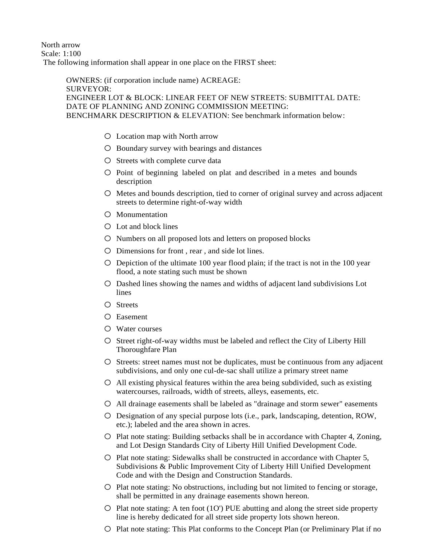North arrow Scale: 1:100 The following information shall appear in one place on the FIRST sheet:

> OWNERS: (if corporation include name) ACREAGE: SURVEYOR: ENGINEER LOT & BLOCK: LINEAR FEET OF NEW STREETS: SUBMITTAL DATE: DATE OF PLANNING AND ZONING COMMISSION MEETING: BENCHMARK DESCRIPTION & ELEVATION: See benchmark information below:

- o Location map with North arrow
- o Boundary survey with bearings and distances
- o Streets with complete curve data
- o Point of beginning labeled on plat and described in a metes and bounds description
- o Metes and bounds description, tied to corner of original survey and across adjacent streets to determine right-of-way width
- o Monumentation
- o Lot and block lines
- o Numbers on all proposed lots and letters on proposed blocks
- o Dimensions for front , rear , and side lot lines.
- $\circ$  Depiction of the ultimate 100 year flood plain; if the tract is not in the 100 year flood, a note stating such must be shown
- o Dashed lines showing the names and widths of adjacent land subdivisions Lot lines
- o Streets
- o Easement
- o Water courses
- o Street right-of-way widths must be labeled and reflect the City of Liberty Hill Thoroughfare Plan
- o Streets: street names must not be duplicates, must be continuous from any adjacent subdivisions, and only one cul-de-sac shall utilize a primary street name
- $O$  All existing physical features within the area being subdivided, such as existing watercourses, railroads, width of streets, alleys, easements, etc.
- o All drainage easements shall be labeled as "drainage and storm sewer" easements
- o Designation of any special purpose lots (i.e., park, landscaping, detention, ROW, etc.); labeled and the area shown in acres.
- o Plat note stating: Building setbacks shall be in accordance with Chapter 4, Zoning, and Lot Design Standards City of Liberty Hill Unified Development Code.
- o Plat note stating: Sidewalks shall be constructed in accordance with Chapter 5, Subdivisions & Public Improvement City of Liberty Hill Unified Development Code and with the Design and Construction Standards.
- $\circ$  Plat note stating: No obstructions, including but not limited to fencing or storage, shall be permitted in any drainage easements shown hereon.
- $\circ$  Plat note stating: A ten foot (1O') PUE abutting and along the street side property line is hereby dedicated for all street side property lots shown hereon.
- o Plat note stating: This Plat conforms to the Concept Plan (or Preliminary Plat if no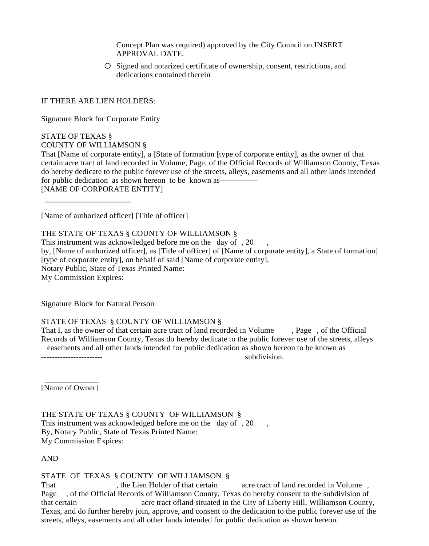Concept Plan was required) approved by the City Council on INSERT APPROVAL DATE.

o Signed and notarized certificate of ownership, consent, restrictions, and dedications contained therein

IF THERE ARE LIEN HOLDERS:

Signature Block for Corporate Entity

STATE OF TEXAS § COUNTY OF WILLIAMSON §

That [Name of corporate entity], a [State of formation [type of corporate entity], as the owner of that certain acre tract of land recorded in Volume, Page, of the Official Records of Williamson County, Texas do hereby dedicate to the public forever use of the streets, alleys, easements and all other lands intended for public dedication as shown hereon to be known as-------------- [NAME OF CORPORATE ENTITY]

[Name of authorized officer] [Title of officer]

THE STATE OF TEXAS § COUNTY OF WILLIAMSON §

This instrument was acknowledged before me on the day of, 20 by, [Name of authorized officer], as [Title of officer] of [Name of corporate entity], a State of formation] [type of corporate entity], on behalf of said [Name of corporate entity]. Notary Public, State of Texas Printed Name: My Commission Expires:

Signature Block for Natural Person

#### STATE OF TEXAS § COUNTY OF WILLIAMSON §

That I, as the owner of that certain acre tract of land recorded in Volume , Page , of the Official Records of Williamson County, Texas do hereby dedicate to the public forever use of the streets, alleys easements and all other lands intended for public dedication as shown hereon to be known as subdivision

[Name of Owner]

THE STATE OF TEXAS § COUNTY OF WILLIAMSON § This instrument was acknowledged before me on the day of, 20 By, Notary Public, State of Texas Printed Name: My Commission Expires:

AND

STATE OF TEXAS § COUNTY OF WILLIAMSON §

That the Lien Holder of that certain acre tract of land recorded in Volume, Page , of the Official Records of Williamson County, Texas do hereby consent to the subdivision of that certain acre tract ofland situated in the City of Liberty Hill, Williamson County, Texas, and do further hereby join, approve, and consent to the dedication to the public forever use of the streets, alleys, easements and all other lands intended for public dedication as shown hereon.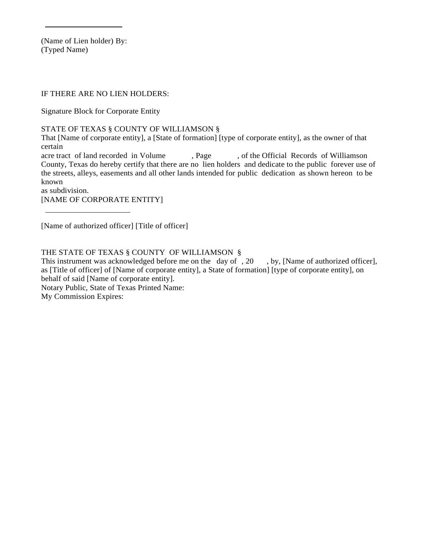(Name of Lien holder) By: (Typed Name)

#### IF THERE ARE NO LIEN HOLDERS:

Signature Block for Corporate Entity

STATE OF TEXAS § COUNTY OF WILLIAMSON §

That [Name of corporate entity], a [State of formation] [type of corporate entity], as the owner of that certain

acre tract of land recorded in Volume , Page , of the Official Records of Williamson County, Texas do hereby certify that there are no lien holders and dedicate to the public forever use of the streets, alleys, easements and all other lands intended for public dedication as shown hereon to be known

as subdivision.

[NAME OF CORPORATE ENTITY]

[Name of authorized officer] [Title of officer]

THE STATE OF TEXAS § COUNTY OF WILLIAMSON §

This instrument was acknowledged before me on the day of , 20, by, [Name of authorized officer], as [Title of officer] of [Name of corporate entity], a State of formation] [type of corporate entity], on behalf of said [Name of corporate entity].

Notary Public, State of Texas Printed Name:

My Commission Expires: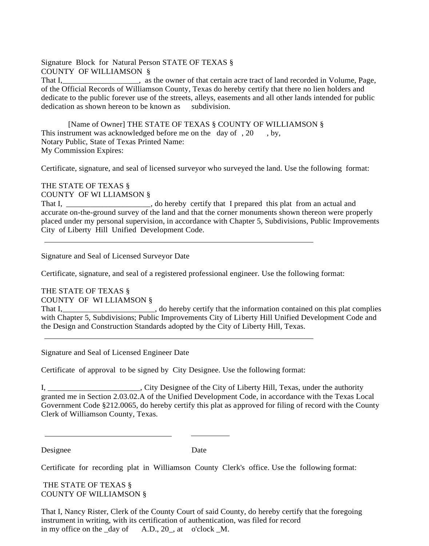Signature Block for Natural Person STATE OF TEXAS § COUNTY OF WILLIAMSON § That I,\_\_\_\_\_\_\_\_\_\_\_\_\_\_\_\_\_\_\_, as the owner of that certain acre tract of land recorded in Volume, Page, of the Official Records of Williamson County, Texas do hereby certify that there no lien holders and dedicate to the public forever use of the streets, alleys, easements and all other lands intended for public dedication as shown hereon to be known as subdivision.

[Name of Owner] THE STATE OF TEXAS § COUNTY OF WILLIAMSON § This instrument was acknowledged before me on the day of , 20 , by, Notary Public, State of Texas Printed Name: My Commission Expires:

Certificate, signature, and seal of licensed surveyor who surveyed the land. Use the following format:

THE STATE OF TEXAS § COUNTY OF WI LLIAMSON § That I, \_\_\_\_\_\_\_\_\_\_\_\_\_\_\_\_\_\_\_\_\_\_, do hereby certify that I prepared this plat from an actual and accurate on-the-ground survey of the land and that the corner monuments shown thereon were properly placed under my personal supervision, in accordance with Chapter 5, Subdivisions, Public Improvements City of Liberty Hill Unified Development Code.

Signature and Seal of Licensed Surveyor Date

Certificate, signature, and seal of a registered professional engineer. Use the following format:

THE STATE OF TEXAS §

COUNTY OF WI LLIAMSON §

That I,\_\_\_\_\_\_\_\_\_\_\_\_\_\_\_\_\_\_\_\_\_\_\_, do hereby certify that the information contained on this plat complies with Chapter 5, Subdivisions; Public Improvements City of Liberty Hill Unified Development Code and the Design and Construction Standards adopted by the City of Liberty Hill, Texas.

Signature and Seal of Licensed Engineer Date

Certificate of approval to be signed by City Designee. Use the following format:

I, \_\_\_\_\_\_\_\_\_\_\_\_\_\_\_\_\_\_\_\_\_\_\_, City Designee of the City of Liberty Hill, Texas, under the authority granted me in Section 2.03.02.A of the Unified Development Code, in accordance with the Texas Local Government Code §212.0065, do hereby certify this plat as approved for filing of record with the County Clerk of Williamson County, Texas.

Designee Date

Certificate for recording plat in Williamson County Clerk's office. Use the following format:

THE STATE OF TEXAS § COUNTY OF WILLIAMSON §

That I, Nancy Rister, Clerk of the County Court of said County, do hereby certify that the foregoing instrument in writing, with its certification of authentication, was filed for record in my office on the day of  $A.D., 20$ , at o'clock M.